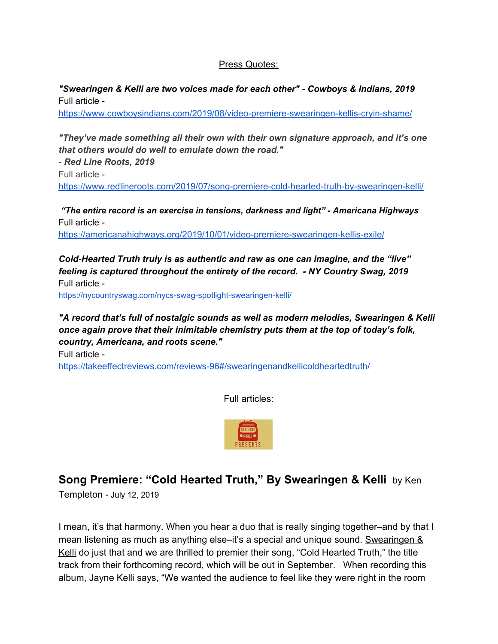#### Press Quotes:

*"Swearingen & Kelli are two voices made for each other" - Cowboys & Indians, 2019* Full article -

<https://www.cowboysindians.com/2019/08/video-premiere-swearingen-kellis-cryin-shame/>

*"They've made something all their own with their own signature approach, and it's one that others would do well to emulate down the road."*

*- Red Line Roots, 2019* Full article <https://www.redlineroots.com/2019/07/song-premiere-cold-hearted-truth-by-swearingen-kelli/>

 *"The entire record is an exercise in tensions, darkness and light" - Americana Highways* Full article -

<https://americanahighways.org/2019/10/01/video-premiere-swearingen-kellis-exile/>

*Cold-Hearted Truth truly is as authentic and raw as one can imagine, and the "live" feeling is captured throughout the entirety of the record. - NY Country Swag, 2019* Full article -

<https://nycountryswag.com/nycs-swag-spotlight-swearingen-kelli/>

*"A record that's full of nostalgic sounds as well as modern melodies, Swearingen & Kelli once again prove that their inimitable chemistry puts them at the top of today's folk, country, Americana, and roots scene."*

Full article -

<https://takeeffectreviews.com/reviews-96#/swearingenandkellicoldheartedtruth/>

Full articles:



### **Song Premiere: "Cold Hearted Truth," By Swearingen & Kelli** by Ken

Templeton - July 12, 2019

I mean, it's that harmony. When you hear a duo that is really singing together–and by that I mean listening as much as anything else–it's a special and unique sound. Swearingen & Kelli do just that and we are thrilled to premier their song, "Cold Hearted Truth," the title track from their forthcoming record, which will be out in September. When recording this album, Jayne Kelli says, "We wanted the audience to feel like they were right in the room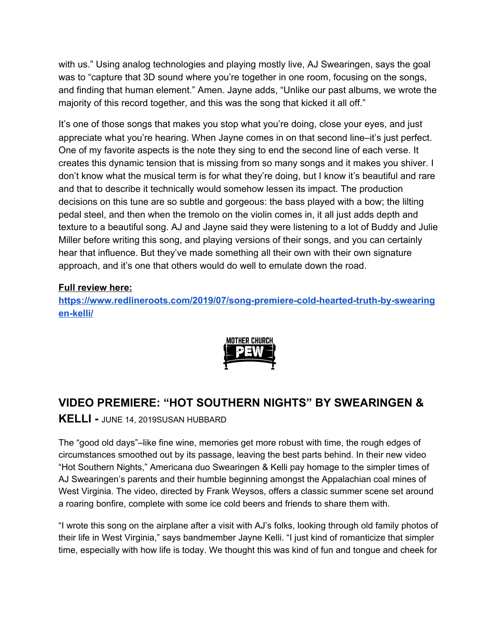with us." Using analog technologies and playing mostly live, AJ Swearingen, says the goal was to "capture that 3D sound where you're together in one room, focusing on the songs, and finding that human element." Amen. Jayne adds, "Unlike our past albums, we wrote the majority of this record together, and this was the song that kicked it all off."

It's one of those songs that makes you stop what you're doing, close your eyes, and just appreciate what you're hearing. When Jayne comes in on that second line–it's just perfect. One of my favorite aspects is the note they sing to end the second line of each verse. It creates this dynamic tension that is missing from so many songs and it makes you shiver. I don't know what the musical term is for what they're doing, but I know it's beautiful and rare and that to describe it technically would somehow lessen its impact. The production decisions on this tune are so subtle and gorgeous: the bass played with a bow; the lilting pedal steel, and then when the tremolo on the violin comes in, it all just adds depth and texture to a beautiful song. AJ and Jayne said they were listening to a lot of Buddy and Julie Miller before writing this song, and playing versions of their songs, and you can certainly hear that influence. But they've made something all their own with their own signature approach, and it's one that others would do well to emulate down the road.

#### **Full review here:**

**[https://www.redlineroots.com/2019/07/song-premiere-cold-hearted-truth-by-swearing](https://www.redlineroots.com/2019/07/song-premiere-cold-hearted-truth-by-swearingen-kelli/) [en-kelli/](https://www.redlineroots.com/2019/07/song-premiere-cold-hearted-truth-by-swearingen-kelli/)**



## **VIDEO PREMIERE: "HOT SOUTHERN NIGHTS" BY SWEARINGEN &**

**KELLI -** JUNE 14, 2019SUSAN HUBBARD

The "good old days"–like fine wine, memories get more robust with time, the rough edges of circumstances smoothed out by its passage, leaving the best parts behind. In their new video "Hot Southern Nights," Americana duo Swearingen & Kelli pay homage to the simpler times of AJ Swearingen's parents and their humble beginning amongst the Appalachian coal mines of West Virginia. The video, directed by Frank Weysos, offers a classic summer scene set around a roaring bonfire, complete with some ice cold beers and friends to share them with.

"I wrote this song on the airplane after a visit with AJ's folks, looking through old family photos of their life in West Virginia," says bandmember Jayne Kelli. "I just kind of romanticize that simpler time, especially with how life is today. We thought this was kind of fun and tongue and cheek for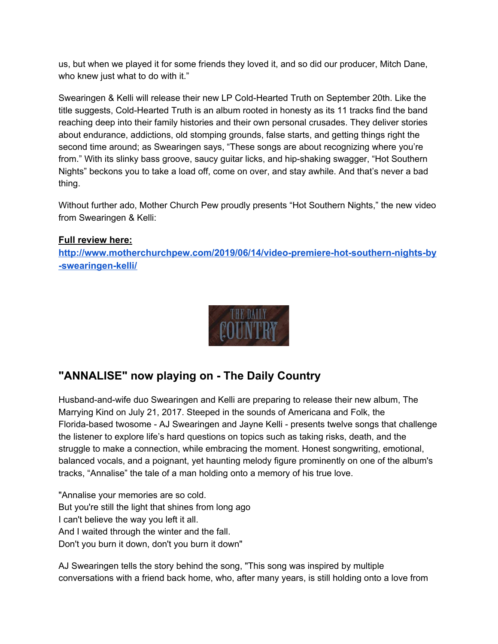us, but when we played it for some friends they loved it, and so did our producer, Mitch Dane, who knew just what to do with it."

Swearingen & Kelli will release their new LP Cold-Hearted Truth on September 20th. Like the title suggests, Cold-Hearted Truth is an album rooted in honesty as its 11 tracks find the band reaching deep into their family histories and their own personal crusades. They deliver stories about endurance, addictions, old stomping grounds, false starts, and getting things right the second time around; as Swearingen says, "These songs are about recognizing where you're from." With its slinky bass groove, saucy guitar licks, and hip-shaking swagger, "Hot Southern Nights" beckons you to take a load off, come on over, and stay awhile. And that's never a bad thing.

Without further ado, Mother Church Pew proudly presents "Hot Southern Nights," the new video from Swearingen & Kelli:

#### **Full review here:**

**[http://www.motherchurchpew.com/2019/06/14/video-premiere-hot-southern-nights-by](http://www.motherchurchpew.com/2019/06/14/video-premiere-hot-southern-nights-by-swearingen-kelli/) [-swearingen-kelli/](http://www.motherchurchpew.com/2019/06/14/video-premiere-hot-southern-nights-by-swearingen-kelli/)**

| THE DAILY |  |
|-----------|--|
| POUNTRY   |  |
|           |  |

## **"ANNALISE" now playing on - The Daily Country**

Husband-and-wife duo Swearingen and Kelli are preparing to release their new album, The Marrying Kind on July 21, 2017. Steeped in the sounds of Americana and Folk, the Florida-based twosome - AJ Swearingen and Jayne Kelli - presents twelve songs that challenge the listener to explore life's hard questions on topics such as taking risks, death, and the struggle to make a connection, while embracing the moment. Honest songwriting, emotional, balanced vocals, and a poignant, yet haunting melody figure prominently on one of the album's tracks, "Annalise" the tale of a man holding onto a memory of his true love.

"Annalise your memories are so cold. But you're still the light that shines from long ago I can't believe the way you left it all. And I waited through the winter and the fall. Don't you burn it down, don't you burn it down"

AJ Swearingen tells the story behind the song, "This song was inspired by multiple conversations with a friend back home, who, after many years, is still holding onto a love from